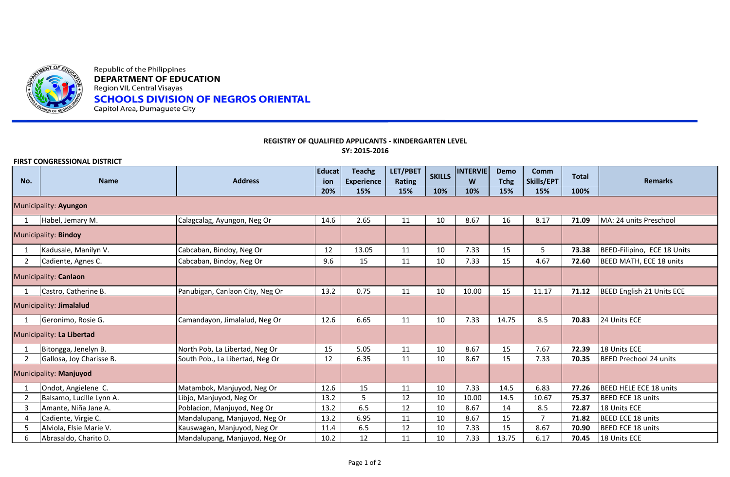

Republic of the Philippines **DEPARTMENT OF EDUCATION** Region VII, Central Visayas **SCHOOLS DIVISION OF NEGROS ORIENTAL** Capitol Area, Dumaguete City

## **REGISTRY OF QUALIFIED APPLICANTS - KINDERGARTEN LEVEL SY: 2015-2016**

**FIRST CONGRESSIONAL DISTRICT**

| No.                       | <b>Name</b>              | <b>Address</b>                  | <b>Educat</b><br>ion | <b>Teachg</b><br><b>Experience</b> | LET/PBET<br><b>Rating</b> | <b>SKILLS</b> | <b>INTERVIE</b><br>W | <b>Demo</b><br><b>Tchg</b> | <b>Comm</b><br>Skills/EPT | <b>Total</b> | <b>Remarks</b>                |
|---------------------------|--------------------------|---------------------------------|----------------------|------------------------------------|---------------------------|---------------|----------------------|----------------------------|---------------------------|--------------|-------------------------------|
|                           |                          |                                 | 20%                  | 15%                                | 15%                       | 10%           | 10%                  | 15%                        | 15%                       | 100%         |                               |
| Municipality: Ayungon     |                          |                                 |                      |                                    |                           |               |                      |                            |                           |              |                               |
|                           | Habel, Jemary M.         | Calagcalag, Ayungon, Neg Or     | 14.6                 | 2.65                               | 11                        | 10            | 8.67                 | 16                         | 8.17                      | 71.09        | MA: 24 units Preschool        |
| Municipality: Bindoy      |                          |                                 |                      |                                    |                           |               |                      |                            |                           |              |                               |
|                           | Kadusale, Manilyn V.     | Cabcaban, Bindoy, Neg Or        | 12                   | 13.05                              | 11                        | 10            | 7.33                 | 15                         | 5                         | 73.38        | BEED-Filipino, ECE 18 Units   |
| $\overline{2}$            | Cadiente, Agnes C.       | Cabcaban, Bindoy, Neg Or        | 9.6                  | 15                                 | 11                        | 10            | 7.33                 | 15                         | 4.67                      | 72.60        | BEED MATH, ECE 18 units       |
|                           | Municipality: Canlaon    |                                 |                      |                                    |                           |               |                      |                            |                           |              |                               |
|                           | Castro, Catherine B.     | Panubigan, Canlaon City, Neg Or | 13.2                 | 0.75                               | 11                        | 10            | 10.00                | 15                         | 11.17                     | 71.12        | BEED English 21 Units ECE     |
| Municipality: Jimalalud   |                          |                                 |                      |                                    |                           |               |                      |                            |                           |              |                               |
|                           | Geronimo, Rosie G.       | Camandayon, Jimalalud, Neg Or   | 12.6                 | 6.65                               | 11                        | 10            | 7.33                 | 14.75                      | 8.5                       | 70.83        | 24 Units ECE                  |
| Municipality: La Libertad |                          |                                 |                      |                                    |                           |               |                      |                            |                           |              |                               |
|                           | Bitongga, Jenelyn B.     | North Pob, La Libertad, Neg Or  | 15                   | 5.05                               | 11                        | 10            | 8.67                 | 15                         | 7.67                      | 72.39        | 18 Units ECE                  |
| 2                         | Gallosa, Joy Charisse B. | South Pob., La Libertad, Neg Or | 12                   | 6.35                               | 11                        | 10            | 8.67                 | 15                         | 7.33                      | 70.35        | <b>BEED Prechool 24 units</b> |
| Municipality: Manjuyod    |                          |                                 |                      |                                    |                           |               |                      |                            |                           |              |                               |
|                           | Ondot, Angielene C.      | Matambok, Manjuyod, Neg Or      | 12.6                 | 15                                 | 11                        | 10            | 7.33                 | 14.5                       | 6.83                      | 77.26        | <b>BEED HELE ECE 18 units</b> |
| 2                         | Balsamo, Lucille Lynn A. | Libjo, Manjuyod, Neg Or         | 13.2                 | 5                                  | 12                        | 10            | 10.00                | 14.5                       | 10.67                     | 75.37        | <b>BEED ECE 18 units</b>      |
| 3                         | Amante, Niña Jane A.     | Poblacion, Manjuyod, Neg Or     | 13.2                 | 6.5                                | 12                        | 10            | 8.67                 | 14                         | 8.5                       | 72.87        | 18 Units ECE                  |
| $\overline{4}$            | Cadiente, Virgie C.      | Mandalupang, Manjuyod, Neg Or   | 13.2                 | 6.95                               | 11                        | 10            | 8.67                 | 15                         | $\overline{7}$            | 71.82        | <b>BEED ECE 18 units</b>      |
| 5                         | Alviola, Elsie Marie V.  | Kauswagan, Manjuyod, Neg Or     | 11.4                 | 6.5                                | 12                        | 10            | 7.33                 | 15                         | 8.67                      | 70.90        | <b>BEED ECE 18 units</b>      |
| 6                         | Abrasaldo, Charito D.    | Mandalupang, Manjuyod, Neg Or   | 10.2                 | 12                                 | 11                        | 10            | 7.33                 | 13.75                      | 6.17                      | 70.45        | 18 Units ECE                  |